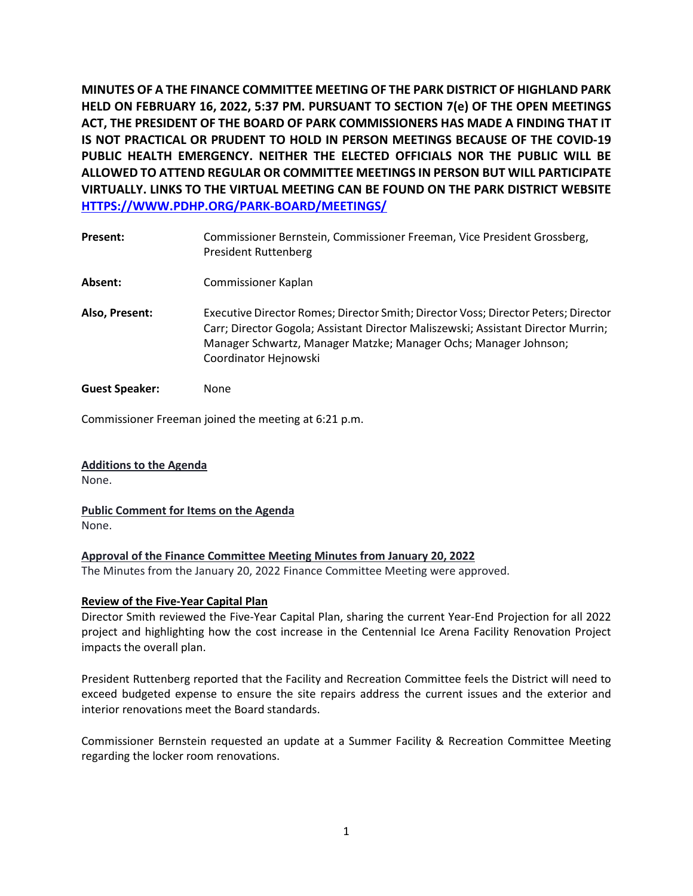**MINUTES OF A THE FINANCE COMMITTEE MEETING OF THE PARK DISTRICT OF HIGHLAND PARK HELD ON FEBRUARY 16, 2022, 5:37 PM. PURSUANT TO SECTION 7(e) OF THE OPEN MEETINGS ACT, THE PRESIDENT OF THE BOARD OF PARK COMMISSIONERS HAS MADE A FINDING THAT IT IS NOT PRACTICAL OR PRUDENT TO HOLD IN PERSON MEETINGS BECAUSE OF THE COVID-19 PUBLIC HEALTH EMERGENCY. NEITHER THE ELECTED OFFICIALS NOR THE PUBLIC WILL BE ALLOWED TO ATTEND REGULAR OR COMMITTEE MEETINGS IN PERSON BUT WILL PARTICIPATE VIRTUALLY. LINKS TO THE VIRTUAL MEETING CAN BE FOUND ON THE PARK DISTRICT WEBSITE [HTTPS://WWW.PDHP.ORG/PARK-BOARD/MEETINGS/](https://www.pdhp.org/PARK-BOARD/MEETINGS/)** 

| Present:              | Commissioner Bernstein, Commissioner Freeman, Vice President Grossberg,<br><b>President Ruttenberg</b>                                                                                                                                                               |
|-----------------------|----------------------------------------------------------------------------------------------------------------------------------------------------------------------------------------------------------------------------------------------------------------------|
| Absent:               | Commissioner Kaplan                                                                                                                                                                                                                                                  |
| Also, Present:        | Executive Director Romes; Director Smith; Director Voss; Director Peters; Director<br>Carr; Director Gogola; Assistant Director Maliszewski; Assistant Director Murrin;<br>Manager Schwartz, Manager Matzke; Manager Ochs; Manager Johnson;<br>Coordinator Hejnowski |
| <b>Guest Speaker:</b> | None                                                                                                                                                                                                                                                                 |

Commissioner Freeman joined the meeting at 6:21 p.m.

**Additions to the Agenda**  None.

**Public Comment for Items on the Agenda**  None.

## **Approval of the Finance Committee Meeting Minutes from January 20, 2022**

The Minutes from the January 20, 2022 Finance Committee Meeting were approved.

## **Review of the Five-Year Capital Plan**

Director Smith reviewed the Five-Year Capital Plan, sharing the current Year-End Projection for all 2022 project and highlighting how the cost increase in the Centennial Ice Arena Facility Renovation Project impacts the overall plan.

President Ruttenberg reported that the Facility and Recreation Committee feels the District will need to exceed budgeted expense to ensure the site repairs address the current issues and the exterior and interior renovations meet the Board standards.

Commissioner Bernstein requested an update at a Summer Facility & Recreation Committee Meeting regarding the locker room renovations.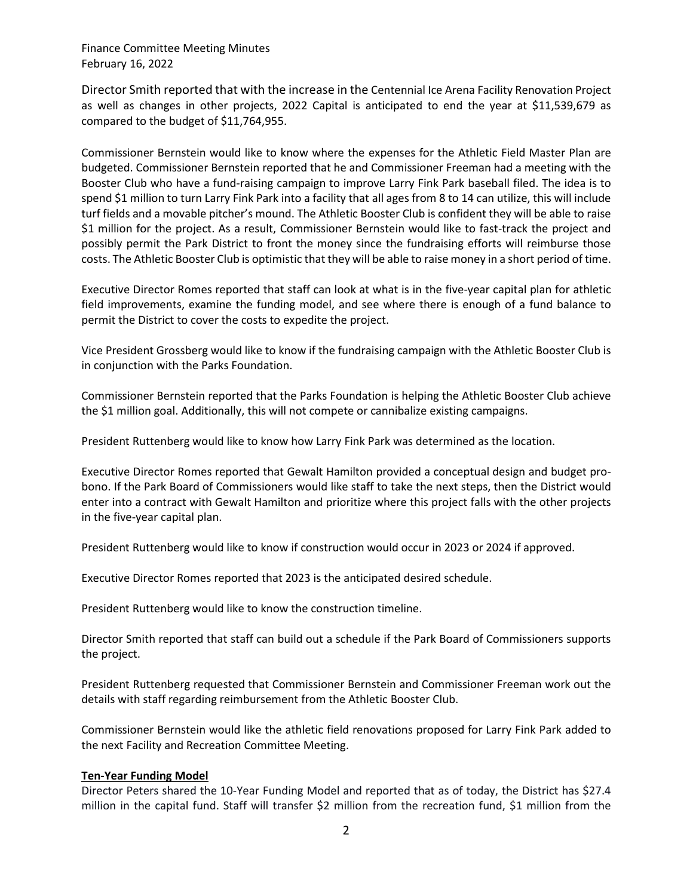Director Smith reported that with the increase in the Centennial Ice Arena Facility Renovation Project as well as changes in other projects, 2022 Capital is anticipated to end the year at \$11,539,679 as compared to the budget of \$11,764,955.

Commissioner Bernstein would like to know where the expenses for the Athletic Field Master Plan are budgeted. Commissioner Bernstein reported that he and Commissioner Freeman had a meeting with the Booster Club who have a fund-raising campaign to improve Larry Fink Park baseball filed. The idea is to spend \$1 million to turn Larry Fink Park into a facility that all ages from 8 to 14 can utilize, this will include turf fields and a movable pitcher's mound. The Athletic Booster Club is confident they will be able to raise \$1 million for the project. As a result, Commissioner Bernstein would like to fast-track the project and possibly permit the Park District to front the money since the fundraising efforts will reimburse those costs. The Athletic Booster Club is optimistic that they will be able to raise money in a short period of time.

Executive Director Romes reported that staff can look at what is in the five-year capital plan for athletic field improvements, examine the funding model, and see where there is enough of a fund balance to permit the District to cover the costs to expedite the project.

Vice President Grossberg would like to know if the fundraising campaign with the Athletic Booster Club is in conjunction with the Parks Foundation.

Commissioner Bernstein reported that the Parks Foundation is helping the Athletic Booster Club achieve the \$1 million goal. Additionally, this will not compete or cannibalize existing campaigns.

President Ruttenberg would like to know how Larry Fink Park was determined as the location.

Executive Director Romes reported that Gewalt Hamilton provided a conceptual design and budget probono. If the Park Board of Commissioners would like staff to take the next steps, then the District would enter into a contract with Gewalt Hamilton and prioritize where this project falls with the other projects in the five-year capital plan.

President Ruttenberg would like to know if construction would occur in 2023 or 2024 if approved.

Executive Director Romes reported that 2023 is the anticipated desired schedule.

President Ruttenberg would like to know the construction timeline.

Director Smith reported that staff can build out a schedule if the Park Board of Commissioners supports the project.

President Ruttenberg requested that Commissioner Bernstein and Commissioner Freeman work out the details with staff regarding reimbursement from the Athletic Booster Club.

Commissioner Bernstein would like the athletic field renovations proposed for Larry Fink Park added to the next Facility and Recreation Committee Meeting.

#### **Ten-Year Funding Model**

Director Peters shared the 10-Year Funding Model and reported that as of today, the District has \$27.4 million in the capital fund. Staff will transfer \$2 million from the recreation fund, \$1 million from the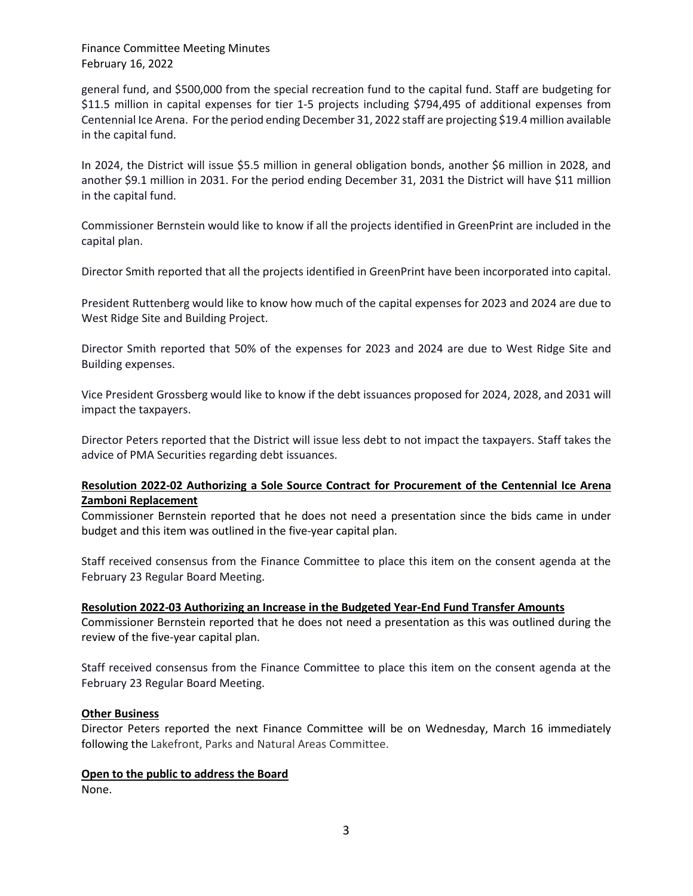general fund, and \$500,000 from the special recreation fund to the capital fund. Staff are budgeting for \$11.5 million in capital expenses for tier 1-5 projects including \$794,495 of additional expenses from Centennial Ice Arena. For the period ending December 31, 2022 staff are projecting \$19.4 million available in the capital fund.

In 2024, the District will issue \$5.5 million in general obligation bonds, another \$6 million in 2028, and another \$9.1 million in 2031. For the period ending December 31, 2031 the District will have \$11 million in the capital fund.

Commissioner Bernstein would like to know if all the projects identified in GreenPrint are included in the capital plan.

Director Smith reported that all the projects identified in GreenPrint have been incorporated into capital.

President Ruttenberg would like to know how much of the capital expenses for 2023 and 2024 are due to West Ridge Site and Building Project.

Director Smith reported that 50% of the expenses for 2023 and 2024 are due to West Ridge Site and Building expenses.

Vice President Grossberg would like to know if the debt issuances proposed for 2024, 2028, and 2031 will impact the taxpayers.

Director Peters reported that the District will issue less debt to not impact the taxpayers. Staff takes the advice of PMA Securities regarding debt issuances.

# **Resolution 2022-02 Authorizing a Sole Source Contract for Procurement of the Centennial Ice Arena Zamboni Replacement**

Commissioner Bernstein reported that he does not need a presentation since the bids came in under budget and this item was outlined in the five-year capital plan.

Staff received consensus from the Finance Committee to place this item on the consent agenda at the February 23 Regular Board Meeting.

#### **Resolution 2022-03 Authorizing an Increase in the Budgeted Year-End Fund Transfer Amounts**

Commissioner Bernstein reported that he does not need a presentation as this was outlined during the review of the five-year capital plan.

Staff received consensus from the Finance Committee to place this item on the consent agenda at the February 23 Regular Board Meeting.

#### **Other Business**

Director Peters reported the next Finance Committee will be on Wednesday, March 16 immediately following the Lakefront, Parks and Natural Areas Committee.

#### **Open to the public to address the Board**

None.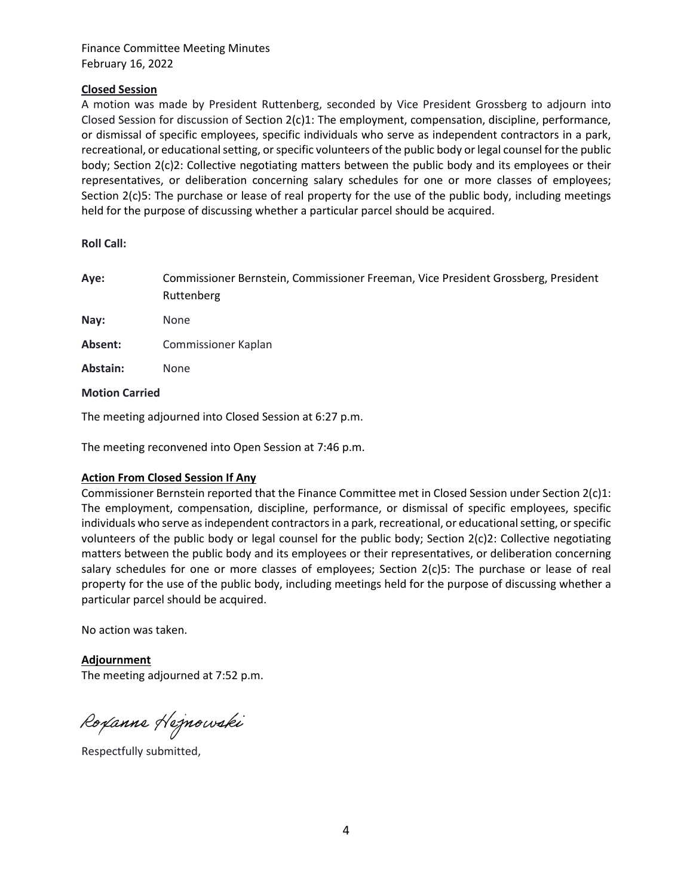## **Closed Session**

A motion was made by President Ruttenberg, seconded by Vice President Grossberg to adjourn into Closed Session for discussion of Section 2(c)1: The employment, compensation, discipline, performance, or dismissal of specific employees, specific individuals who serve as independent contractors in a park, recreational, or educational setting, or specific volunteers of the public body or legal counsel for the public body; Section 2(c)2: Collective negotiating matters between the public body and its employees or their representatives, or deliberation concerning salary schedules for one or more classes of employees; Section 2(c)5: The purchase or lease of real property for the use of the public body, including meetings held for the purpose of discussing whether a particular parcel should be acquired.

**Roll Call:** 

| Aye:                  | Commissioner Bernstein, Commissioner Freeman, Vice President Grossberg, President<br>Ruttenberg |
|-----------------------|-------------------------------------------------------------------------------------------------|
| Nay:                  | None                                                                                            |
| Absent:               | Commissioner Kaplan                                                                             |
| Abstain:              | None                                                                                            |
| <b>Motion Carried</b> |                                                                                                 |

The meeting adjourned into Closed Session at 6:27 p.m.

The meeting reconvened into Open Session at 7:46 p.m.

### **Action From Closed Session If Any**

Commissioner Bernstein reported that the Finance Committee met in Closed Session under Section 2(c)1: The employment, compensation, discipline, performance, or dismissal of specific employees, specific individuals who serve as independent contractors in a park, recreational, or educational setting, or specific volunteers of the public body or legal counsel for the public body; Section 2(c)2: Collective negotiating matters between the public body and its employees or their representatives, or deliberation concerning salary schedules for one or more classes of employees; Section 2(c)5: The purchase or lease of real property for the use of the public body, including meetings held for the purpose of discussing whether a particular parcel should be acquired.

No action was taken.

**Adjournment**  The meeting adjourned at 7:52 p.m.

Roxanne Hejnowski

Respectfully submitted,